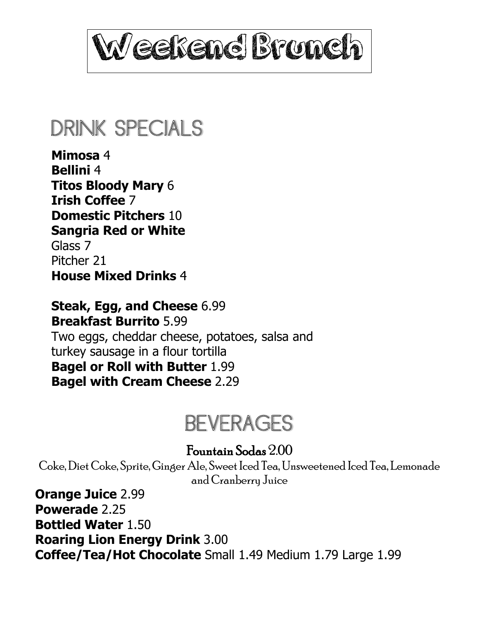

## DRINK SPECIALS

**Mimosa** 4 **Bellini** 4 **Titos Bloody Mary** 6 **Irish Coffee** 7 **Domestic Pitchers** 10 **Sangria Red or White**  Glass 7 Pitcher 21 **House Mixed Drinks** 4

**Steak, Egg, and Cheese** 6.99 **Breakfast Burrito** 5.99 Two eggs, cheddar cheese, potatoes, salsa and turkey sausage in a flour tortilla **Bagel or Roll with Butter** 1.99 **Bagel with Cream Cheese** 2.29

# BEVERAGES

#### Fountain Sodas 2.00

Coke, Diet Coke, Sprite, Ginger Ale, Sweet Iced Tea, Unsweetened Iced Tea, Lemonade and Cranberry Juice

**Orange Juice** 2.99 **Powerade** 2.25 **Bottled Water** 1.50 **Roaring Lion Energy Drink** 3.00 **Coffee/Tea/Hot Chocolate** Small 1.49 Medium 1.79 Large 1.99